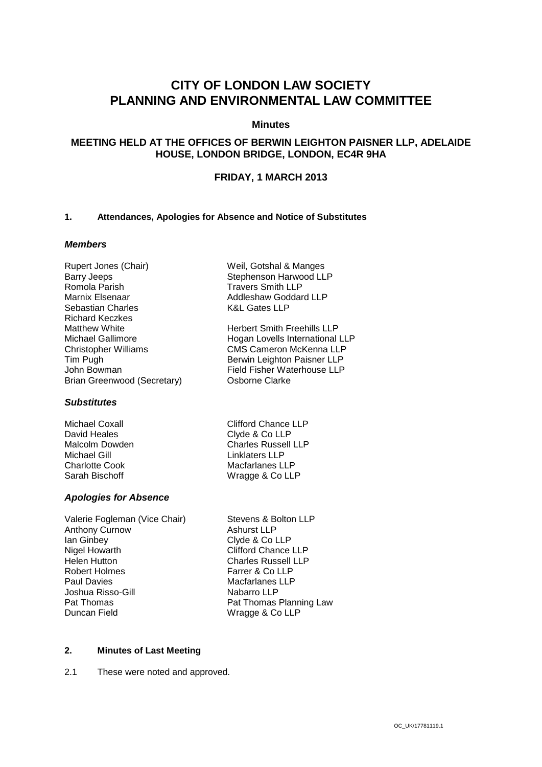# **CITY OF LONDON LAW SOCIETY PLANNING AND ENVIRONMENTAL LAW COMMITTEE**

# **Minutes**

# **MEETING HELD AT THE OFFICES OF BERWIN LEIGHTON PAISNER LLP, ADELAIDE HOUSE, LONDON BRIDGE, LONDON, EC4R 9HA**

# **FRIDAY, 1 MARCH 2013**

#### **1. Attendances, Apologies for Absence and Notice of Substitutes**

# *Members*

| Rupert Jones (Chair)        |
|-----------------------------|
| <b>Barry Jeeps</b>          |
| Romola Parish               |
| Marnix Elsenaar             |
| Sebastian Charles           |
| Richard Keczkes             |
| Matthew White               |
| Michael Gallimore           |
| <b>Christopher Williams</b> |
| Tim Pugh                    |
| John Bowman                 |
| Brian Greenwood (Secretary) |

#### *Substitutes*

Michael Coxall David Heales Malcolm Dowden Michael Gill Charlotte Cook Sarah Bischoff

# *Apologies for Absence*

| Valerie Fogleman (Vice Chair) | Stevens & Bolton LLP       |
|-------------------------------|----------------------------|
| <b>Anthony Curnow</b>         | <b>Ashurst LLP</b>         |
| lan Ginbey                    | Clyde & Co LLP             |
| Nigel Howarth                 | <b>Clifford Chance LLP</b> |
| Helen Hutton                  | <b>Charles Russell LLP</b> |
| <b>Robert Holmes</b>          | Farrer & Co LLP            |
| <b>Paul Davies</b>            | <b>Macfarlanes LLP</b>     |
| Joshua Risso-Gill             | Nabarro LLP                |
| Pat Thomas                    | Pat Thomas Planning Law    |
| Duncan Field                  | Wragge & Co LLP            |

Weil, Gotshal & Manges Stephenson Harwood LLP Travers Smith LLP Addleshaw Goddard LLP K&L Gates LLP

Herbert Smith Freehills LLP Hogan Lovells International LLP CMS Cameron McKenna LLP Berwin Leighton Paisner LLP Field Fisher Waterhouse LLP Osborne Clarke

| <b>Clifford Chance LLP</b> |
|----------------------------|
| Clyde & Co LLP             |
| <b>Charles Russell LLP</b> |
| Linklaters LLP             |
| Macfarlanes LLP            |
| Wragge & Co LLP            |
|                            |

| Pat Thomas Planning Law |
|-------------------------|
|                         |
|                         |

#### **2. Minutes of Last Meeting**

2.1 These were noted and approved.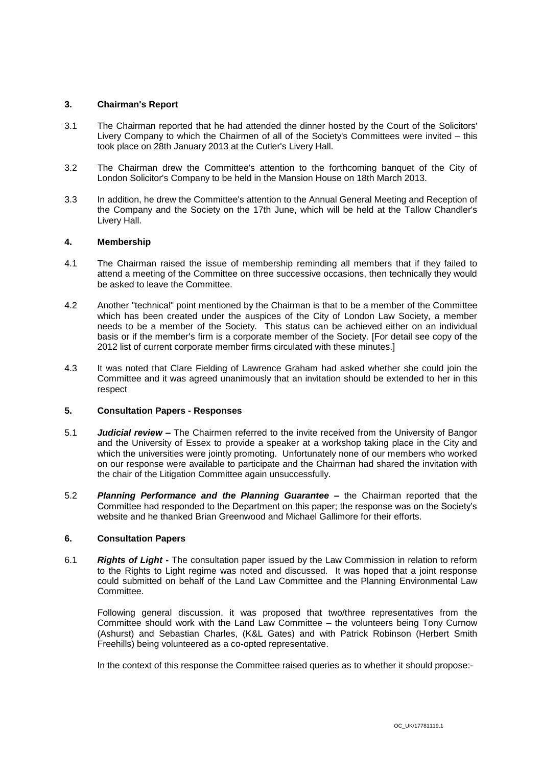#### **3. Chairman's Report**

- 3.1 The Chairman reported that he had attended the dinner hosted by the Court of the Solicitors' Livery Company to which the Chairmen of all of the Society's Committees were invited – this took place on 28th January 2013 at the Cutler's Livery Hall.
- 3.2 The Chairman drew the Committee's attention to the forthcoming banquet of the City of London Solicitor's Company to be held in the Mansion House on 18th March 2013.
- 3.3 In addition, he drew the Committee's attention to the Annual General Meeting and Reception of the Company and the Society on the 17th June, which will be held at the Tallow Chandler's Livery Hall.

#### **4. Membership**

- 4.1 The Chairman raised the issue of membership reminding all members that if they failed to attend a meeting of the Committee on three successive occasions, then technically they would be asked to leave the Committee.
- 4.2 Another "technical" point mentioned by the Chairman is that to be a member of the Committee which has been created under the auspices of the City of London Law Society, a member needs to be a member of the Society. This status can be achieved either on an individual basis or if the member's firm is a corporate member of the Society. [For detail see copy of the 2012 list of current corporate member firms circulated with these minutes.]
- 4.3 It was noted that Clare Fielding of Lawrence Graham had asked whether she could join the Committee and it was agreed unanimously that an invitation should be extended to her in this respect

#### **5. Consultation Papers - Responses**

- 5.1 *Judicial review* **–** The Chairmen referred to the invite received from the University of Bangor and the University of Essex to provide a speaker at a workshop taking place in the City and which the universities were jointly promoting. Unfortunately none of our members who worked on our response were available to participate and the Chairman had shared the invitation with the chair of the Litigation Committee again unsuccessfully.
- 5.2 *Planning Performance and the Planning Guarantee* **–** the Chairman reported that the Committee had responded to the Department on this paper; the response was on the Society's website and he thanked Brian Greenwood and Michael Gallimore for their efforts.

# **6. Consultation Papers**

6.1 *Rights of Light* **-** The consultation paper issued by the Law Commission in relation to reform to the Rights to Light regime was noted and discussed. It was hoped that a joint response could submitted on behalf of the Land Law Committee and the Planning Environmental Law Committee.

Following general discussion, it was proposed that two/three representatives from the Committee should work with the Land Law Committee – the volunteers being Tony Curnow (Ashurst) and Sebastian Charles, (K&L Gates) and with Patrick Robinson (Herbert Smith Freehills) being volunteered as a co-opted representative.

In the context of this response the Committee raised queries as to whether it should propose:-